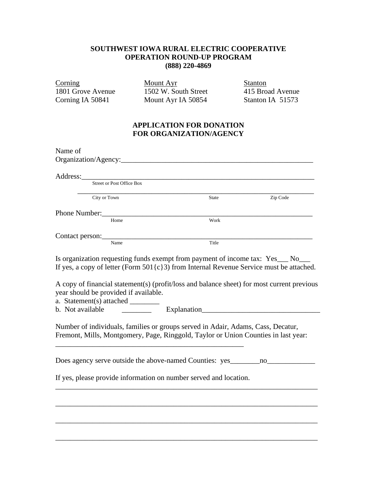## **SOUTHWEST IOWA RURAL ELECTRIC COOPERATIVE OPERATION ROUND-UP PROGRAM (888) 220-4869**

Eorning Mount Ayr Stanton<br>1801 Grove Avenue 1502 W. South Street 415 Broad 1801 Grove Avenue 1502 W. South Street 415 Broad Avenue<br>
Corning IA 50841 Mount Ayr IA 50854 Stanton IA 51573

Mount Ayr IA 50854

## **APPLICATION FOR DONATION FOR ORGANIZATION/AGENCY**

| Name of                                                                                                                                                                                                                                                                                                                                                                      |              |          |
|------------------------------------------------------------------------------------------------------------------------------------------------------------------------------------------------------------------------------------------------------------------------------------------------------------------------------------------------------------------------------|--------------|----------|
|                                                                                                                                                                                                                                                                                                                                                                              |              |          |
| Address:                                                                                                                                                                                                                                                                                                                                                                     |              |          |
| Street or Post Office Box                                                                                                                                                                                                                                                                                                                                                    |              |          |
| City or Town                                                                                                                                                                                                                                                                                                                                                                 | <b>State</b> | Zip Code |
| Phone Number:                                                                                                                                                                                                                                                                                                                                                                |              |          |
| Home                                                                                                                                                                                                                                                                                                                                                                         | Work         |          |
|                                                                                                                                                                                                                                                                                                                                                                              |              |          |
| Name                                                                                                                                                                                                                                                                                                                                                                         | Title        |          |
| Is organization requesting funds exempt from payment of income tax: Yes_ No_<br>If yes, a copy of letter (Form $501\{c\}3$ ) from Internal Revenue Service must be attached.<br>A copy of financial statement(s) (profit/loss and balance sheet) for most current previous<br>year should be provided if available.<br>a. Statement(s) attached ________<br>b. Not available |              |          |
| Number of individuals, families or groups served in Adair, Adams, Cass, Decatur,<br>Fremont, Mills, Montgomery, Page, Ringgold, Taylor or Union Counties in last year:                                                                                                                                                                                                       |              |          |
| Does agency serve outside the above-named Counties: yes _________________________                                                                                                                                                                                                                                                                                            |              |          |
| If yes, please provide information on number served and location.                                                                                                                                                                                                                                                                                                            |              |          |
|                                                                                                                                                                                                                                                                                                                                                                              |              |          |
|                                                                                                                                                                                                                                                                                                                                                                              |              |          |
|                                                                                                                                                                                                                                                                                                                                                                              |              |          |
|                                                                                                                                                                                                                                                                                                                                                                              |              |          |
|                                                                                                                                                                                                                                                                                                                                                                              |              |          |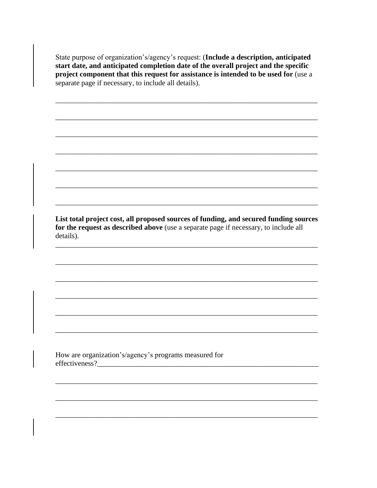State purpose of organization's/agency's request: (Include a description, anticipated start date, and anticipated completion date of the overall project and the specific project component that this request for assistance is intended to be used for (use a separate page if necessary, to include all details).

List total project cost, all proposed sources of funding, and secured funding sources for the request as described above (use a separate page if necessary, to include all details).

How are organization's/agency's programs measured for